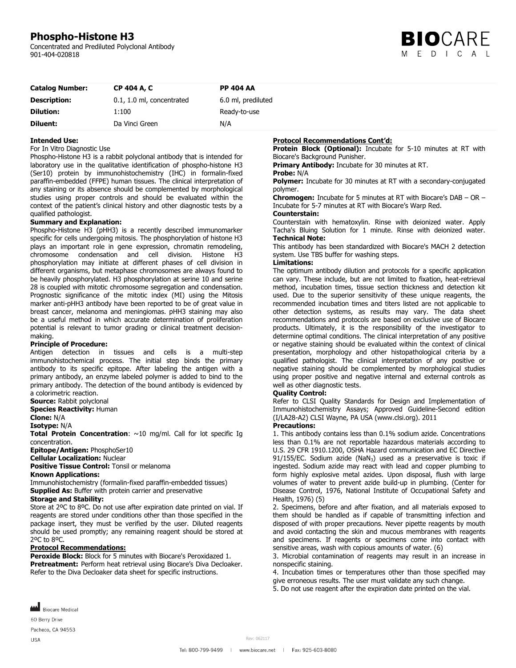# **Phospho-Histone H3**

Concentrated and Prediluted Polyclonal Antibody 901-404-020818



| <b>Catalog Number:</b> | CP 404 A, C               | <b>PP 404 AA</b>   |
|------------------------|---------------------------|--------------------|
| <b>Description:</b>    | 0.1, 1.0 ml, concentrated | 6.0 ml, prediluted |
| <b>Dilution:</b>       | 1:100                     | Ready-to-use       |
| Diluent:               | Da Vinci Green            | N/A                |

### **Intended Use:**

#### For In Vitro Diagnostic Use

Phospho-Histone H3 is a rabbit polyclonal antibody that is intended for laboratory use in the qualitative identification of phospho-histone H3 (Ser10) protein by immunohistochemistry (IHC) in formalin-fixed paraffin-embedded (FFPE) human tissues. The clinical interpretation of any staining or its absence should be complemented by morphological studies using proper controls and should be evaluated within the context of the patient's clinical history and other diagnostic tests by a qualified pathologist.

#### **Summary and Explanation:**

Phospho-Histone H3 (pHH3) is a recently described immunomarker specific for cells undergoing mitosis. The phosphorylation of histone H3 plays an important role in gene expression, chromatin remodeling, chromosome condensation and cell division. Histone H3 phosphorylation may initiate at different phases of cell division in different organisms, but metaphase chromosomes are always found to be heavily phosphorylated. H3 phosphorylation at serine 10 and serine 28 is coupled with mitotic chromosome segregation and condensation. Prognostic significance of the mitotic index (MI) using the Mitosis marker anti-pHH3 antibody have been reported to be of great value in breast cancer, melanoma and meningiomas. pHH3 staining may also be a useful method in which accurate determination of proliferation potential is relevant to tumor grading or clinical treatment decisionmaking.

#### **Principle of Procedure:**

Antigen detection in tissues and cells is a multi-step immunohistochemical process. The initial step binds the primary antibody to its specific epitope. After labeling the antigen with a primary antibody, an enzyme labeled polymer is added to bind to the primary antibody. The detection of the bound antibody is evidenced by a colorimetric reaction.

**Source:** Rabbit polyclonal

**Species Reactivity: Human** 

**Clone:** N/A

**Isotype:** N/A

**Total Protein Concentration**: ~10 mg/ml. Call for lot specific Ig concentration.

**Epitope/Antigen:** PhosphoSer10

**Cellular Localization:** Nuclear

**Positive Tissue Control:** Tonsil or melanoma

#### **Known Applications:**

Immunohistochemistry (formalin-fixed paraffin-embedded tissues) **Supplied As:** Buffer with protein carrier and preservative

# **Storage and Stability:**

Store at 2ºC to 8ºC. Do not use after expiration date printed on vial. If reagents are stored under conditions other than those specified in the package insert, they must be verified by the user. Diluted reagents should be used promptly; any remaining reagent should be stored at 2ºC to 8ºC.

### **Protocol Recommendations:**

**Peroxide Block:** Block for 5 minutes with Biocare's Peroxidazed 1. **Pretreatment:** Perform heat retrieval using Biocare's Diva Decloaker. Refer to the Diva Decloaker data sheet for specific instructions.

# **Protocol Recommendations Cont'd:**

**Protein Block (Optional):** Incubate for 5-10 minutes at RT with Biocare's Background Punisher.

**Primary Antibody:** Incubate for 30 minutes at RT.

#### **Probe:** N/A

**Polymer:** Incubate for 30 minutes at RT with a secondary-conjugated polymer.

**Chromogen:** Incubate for 5 minutes at RT with Biocare's DAB – OR – Incubate for 5-7 minutes at RT with Biocare's Warp Red.

# **Counterstain:**

Counterstain with hematoxylin. Rinse with deionized water. Apply Tacha's Bluing Solution for 1 minute. Rinse with deionized water. **Technical Note:**

This antibody has been standardized with Biocare's MACH 2 detection system. Use TBS buffer for washing steps.

#### **Limitations:**

The optimum antibody dilution and protocols for a specific application can vary. These include, but are not limited to fixation, heat-retrieval method, incubation times, tissue section thickness and detection kit used. Due to the superior sensitivity of these unique reagents, the recommended incubation times and titers listed are not applicable to other detection systems, as results may vary. The data sheet recommendations and protocols are based on exclusive use of Biocare products. Ultimately, it is the responsibility of the investigator to determine optimal conditions. The clinical interpretation of any positive or negative staining should be evaluated within the context of clinical presentation, morphology and other histopathological criteria by a qualified pathologist. The clinical interpretation of any positive or negative staining should be complemented by morphological studies using proper positive and negative internal and external controls as well as other diagnostic tests.

#### **Quality Control:**

Refer to CLSI Quality Standards for Design and Implementation of Immunohistochemistry Assays; Approved Guideline-Second edition (I/LA28-A2) CLSI Wayne, PA USA (www.clsi.org). 2011

# **Precautions:**

1. This antibody contains less than 0.1% sodium azide. Concentrations less than 0.1% are not reportable hazardous materials according to U.S. 29 CFR 1910.1200, OSHA Hazard communication and EC Directive 91/155/EC. Sodium azide (NaN<sub>3</sub>) used as a preservative is toxic if ingested. Sodium azide may react with lead and copper plumbing to form highly explosive metal azides. Upon disposal, flush with large volumes of water to prevent azide build-up in plumbing. (Center for Disease Control, 1976, National Institute of Occupational Safety and Health, 1976) (5)

2. Specimens, before and after fixation, and all materials exposed to them should be handled as if capable of transmitting infection and disposed of with proper precautions. Never pipette reagents by mouth and avoid contacting the skin and mucous membranes with reagents and specimens. If reagents or specimens come into contact with sensitive areas, wash with copious amounts of water. (6)

3. Microbial contamination of reagents may result in an increase in nonspecific staining.

4. Incubation times or temperatures other than those specified may give erroneous results. The user must validate any such change.

5. Do not use reagent after the expiration date printed on the vial.

Biocare Medical 60 Berry Drive

Pacheco, CA 94553

**USA**